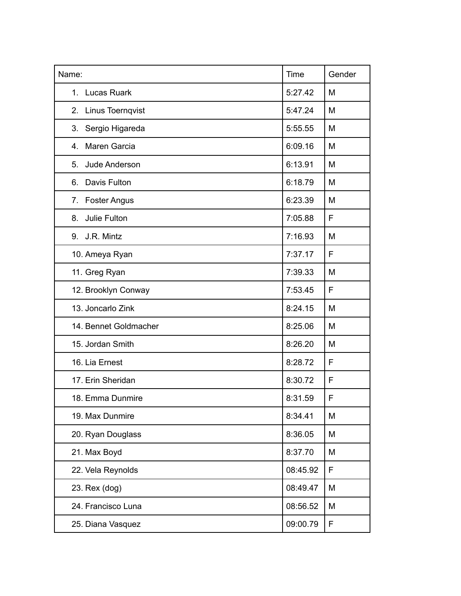| Name:                         | Time     | Gender |
|-------------------------------|----------|--------|
| <b>Lucas Ruark</b><br>$1_{-}$ | 5:27.42  | M      |
| 2. Linus Toernqvist           | 5:47.24  | M      |
| Sergio Higareda<br>3.         | 5:55.55  | M      |
| Maren Garcia<br>4.            | 6:09.16  | M      |
| Jude Anderson<br>5.           | 6:13.91  | M      |
| Davis Fulton<br>6.            | 6:18.79  | M      |
| 7. Foster Angus               | 6:23.39  | M      |
| Julie Fulton<br>8.            | 7:05.88  | F      |
| 9. J.R. Mintz                 | 7:16.93  | M      |
| 10. Ameya Ryan                | 7:37.17  | F      |
| 11. Greg Ryan                 | 7:39.33  | M      |
| 12. Brooklyn Conway           | 7:53.45  | F      |
| 13. Joncarlo Zink             | 8:24.15  | M      |
| 14. Bennet Goldmacher         | 8:25.06  | M      |
| 15. Jordan Smith              | 8:26.20  | M      |
| 16. Lia Ernest                | 8:28.72  | F      |
| 17. Erin Sheridan             | 8:30.72  | F      |
| 18. Emma Dunmire              | 8:31.59  | F      |
| 19. Max Dunmire               | 8:34.41  | M      |
| 20. Ryan Douglass             | 8:36.05  | M      |
| 21. Max Boyd                  | 8:37.70  | M      |
| 22. Vela Reynolds             | 08:45.92 | F      |
| 23. Rex (dog)                 | 08:49.47 | M      |
| 24. Francisco Luna            | 08:56.52 | M      |
| 25. Diana Vasquez             | 09:00.79 | F      |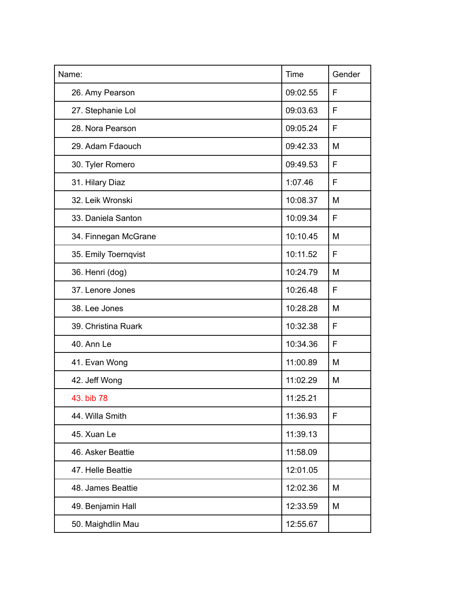| Name:                | Time     | Gender |
|----------------------|----------|--------|
| 26. Amy Pearson      | 09:02.55 | F      |
| 27. Stephanie Lol    | 09:03.63 | F      |
| 28. Nora Pearson     | 09:05.24 | F      |
| 29. Adam Fdaouch     | 09:42.33 | M      |
| 30. Tyler Romero     | 09:49.53 | F      |
| 31. Hilary Diaz      | 1:07.46  | F      |
| 32. Leik Wronski     | 10:08.37 | M      |
| 33. Daniela Santon   | 10:09.34 | F      |
| 34. Finnegan McGrane | 10:10.45 | M      |
| 35. Emily Toernqvist | 10:11.52 | F      |
| 36. Henri (dog)      | 10:24.79 | M      |
| 37. Lenore Jones     | 10:26.48 | F      |
| 38. Lee Jones        | 10:28.28 | M      |
| 39. Christina Ruark  | 10:32.38 | F      |
| 40. Ann Le           | 10:34.36 | F      |
| 41. Evan Wong        | 11:00.89 | M      |
| 42. Jeff Wong        | 11:02.29 | M      |
| 43. bib 78           | 11:25.21 |        |
| 44. Willa Smith      | 11:36.93 | F      |
| 45. Xuan Le          | 11:39.13 |        |
| 46. Asker Beattie    | 11:58.09 |        |
| 47. Helle Beattie    | 12:01.05 |        |
| 48. James Beattie    | 12:02.36 | M      |
| 49. Benjamin Hall    | 12:33.59 | M      |
| 50. Maighdlin Mau    | 12:55.67 |        |